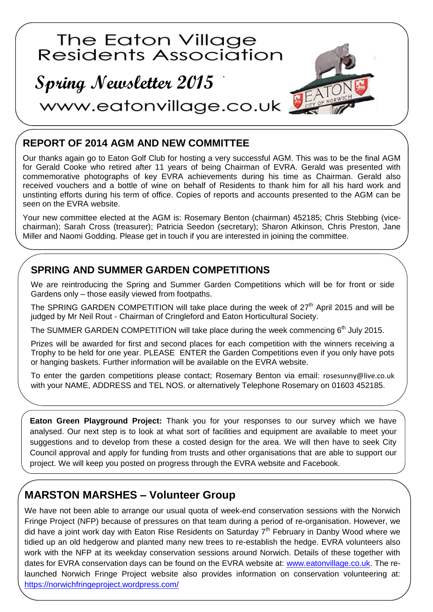

## **REPORT OF 2014 AGM AND NEW COMMITTEE**

Our thanks again go to Eaton Golf Club for hosting a very successful AGM. This was to be the final AGM for Gerald Cooke who retired after 11 years of being Chairman of EVRA. Gerald was presented with commemorative photographs of key EVRA achievements during his time as Chairman. Gerald also received vouchers and a bottle of wine on behalf of Residents to thank him for all his hard work and unstinting efforts during his term of office. Copies of reports and accounts presented to the AGM can be seen on the EVRA website.

Your new committee elected at the AGM is: Rosemary Benton (chairman) 452185; Chris Stebbing (vicechairman); Sarah Cross (treasurer); Patricia Seedon (secretary); Sharon Atkinson, Chris Preston, Jane Miller and Naomi Godding. Please get in touch if you are interested in joining the committee.

### **SPRING AND SUMMER GARDEN COMPETITIONS**

We are reintroducing the Spring and Summer Garden Competitions which will be for front or side Gardens only – those easily viewed from footpaths.

The SPRING GARDEN COMPETITION will take place during the week of  $27<sup>th</sup>$  April 2015 and will be judged by Mr Neil Rout - Chairman of Cringleford and Eaton Horticultural Society.

The SUMMER GARDEN COMPETITION will take place during the week commencing 6<sup>th</sup> July 2015.

Prizes will be awarded for first and second places for each competition with the winners receiving a Trophy to be held for one year. PLEASE ENTER the Garden Competitions even if you only have pots or hanging baskets. Further information will be available on the EVRA website.

To enter the garden competitions please contact; Rosemary Benton via email: [rosesunny@live.co.uk](mailto:rosesunny@live.co.uk) with your NAME, ADDRESS and TEL NOS. or alternatively Telephone Rosemary on 01603 452185.

**Eaton Green Playground Project:** Thank you for your responses to our survey which we have analysed. Our next step is to look at what sort of facilities and equipment are available to meet your suggestions and to develop from these a costed design for the area. We will then have to seek City Council approval and apply for funding from trusts and other organisations that are able to support our project. We will keep you posted on progress through the EVRA website and Facebook.

# **MARSTON MARSHES – Volunteer Group**

We have not been able to arrange our usual quota of week-end conservation sessions with the Norwich Fringe Project (NFP) because of pressures on that team during a period of re-organisation. However, we did have a joint work day with Eaton Rise Residents on Saturday  $7<sup>th</sup>$  February in Danby Wood where we tidied up an old hedgerow and planted many new trees to re-establish the hedge. EVRA volunteers also work with the NFP at its weekday conservation sessions around Norwich. Details of these together with dates for EVRA conservation days can be found on the EVRA website at: [www.eatonvillage.co.uk.](http://www.eatonvillage.co.uk/) The relaunched Norwich Fringe Project website also provides information on conservation volunteering at: <https://norwichfringeproject.wordpress.com/>